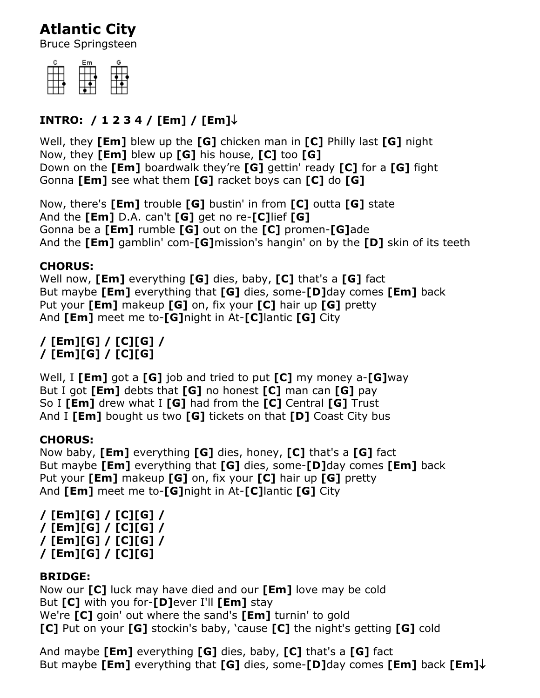# **Atlantic City**

Bruce Springsteen

| Em |  |
|----|--|
|    |  |
|    |  |
|    |  |
|    |  |

# **INTRO: / 1 2 3 4 / [Em] / [Em]**

Well, they **[Em]** blew up the **[G]** chicken man in **[C]** Philly last **[G]** night Now, they **[Em]** blew up **[G]** his house, **[C]** too **[G]** Down on the **[Em]** boardwalk they're **[G]** gettin' ready **[C]** for a **[G]** fight Gonna **[Em]** see what them **[G]** racket boys can **[C]** do **[G]**

Now, there's **[Em]** trouble **[G]** bustin' in from **[C]** outta **[G]** state And the **[Em]** D.A. can't **[G]** get no re-**[C]**lief **[G]** Gonna be a **[Em]** rumble **[G]** out on the **[C]** promen-**[G]**ade And the **[Em]** gamblin' com-**[G]**mission's hangin' on by the **[D]** skin of its teeth

#### **CHORUS:**

Well now, **[Em]** everything **[G]** dies, baby, **[C]** that's a **[G]** fact But maybe **[Em]** everything that **[G]** dies, some-**[D]**day comes **[Em]** back Put your **[Em]** makeup **[G]** on, fix your **[C]** hair up **[G]** pretty And **[Em]** meet me to-**[G]**night in At-**[C]**lantic **[G]** City

#### **/ [Em][G] / [C][G] / / [Em][G] / [C][G]**

Well, I **[Em]** got a **[G]** job and tried to put **[C]** my money a-**[G]**way But I got **[Em]** debts that **[G]** no honest **[C]** man can **[G]** pay So I **[Em]** drew what I **[G]** had from the **[C]** Central **[G]** Trust And I **[Em]** bought us two **[G]** tickets on that **[D]** Coast City bus

### **CHORUS:**

Now baby, **[Em]** everything **[G]** dies, honey, **[C]** that's a **[G]** fact But maybe **[Em]** everything that **[G]** dies, some-**[D]**day comes **[Em]** back Put your **[Em]** makeup **[G]** on, fix your **[C]** hair up **[G]** pretty And **[Em]** meet me to-**[G]**night in At-**[C]**lantic **[G]** City

```
/ [Em][G] / [C][G] /
/ [Em][G] / [C][G] /
/ [Em][G] / [C][G] /
/ [Em][G] / [C][G]
```
### **BRIDGE:**

Now our **[C]** luck may have died and our **[Em]** love may be cold But **[C]** with you for-**[D]**ever I'll **[Em]** stay We're **[C]** goin' out where the sand's **[Em]** turnin' to gold **[C]** Put on your **[G]** stockin's baby, 'cause **[C]** the night's getting **[G]** cold

And maybe **[Em]** everything **[G]** dies, baby, **[C]** that's a **[G]** fact But maybe **[Em]** everything that **[G]** dies, some-**[D]**day comes **[Em]** back **[Em]**